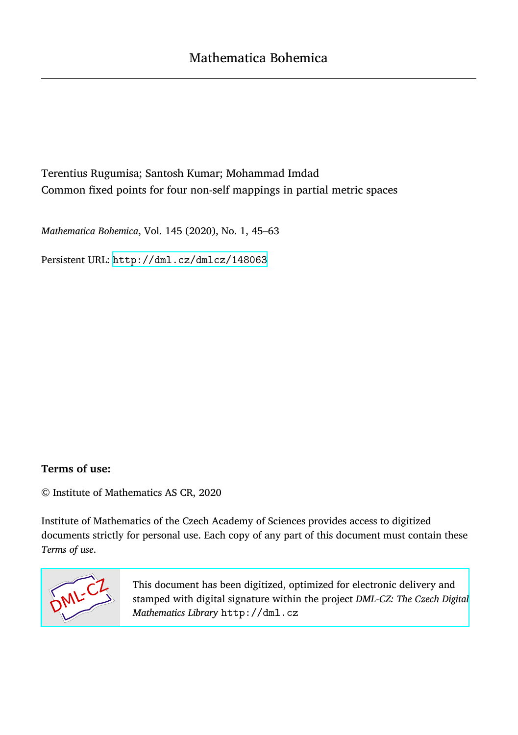# Terentius Rugumisa; Santosh Kumar; Mohammad Imdad Common fixed points for four non-self mappings in partial metric spaces

*Mathematica Bohemica*, Vol. 145 (2020), No. 1, 45–63

Persistent URL: <http://dml.cz/dmlcz/148063>

### **Terms of use:**

© Institute of Mathematics AS CR, 2020

Institute of Mathematics of the Czech Academy of Sciences provides access to digitized documents strictly for personal use. Each copy of any part of this document must contain these *Terms of use*.



[This document has been digitized, optimized for electronic delivery and](http://dml.cz) stamped with digital signature within the project *DML-CZ: The Czech Digital Mathematics Library* http://dml.cz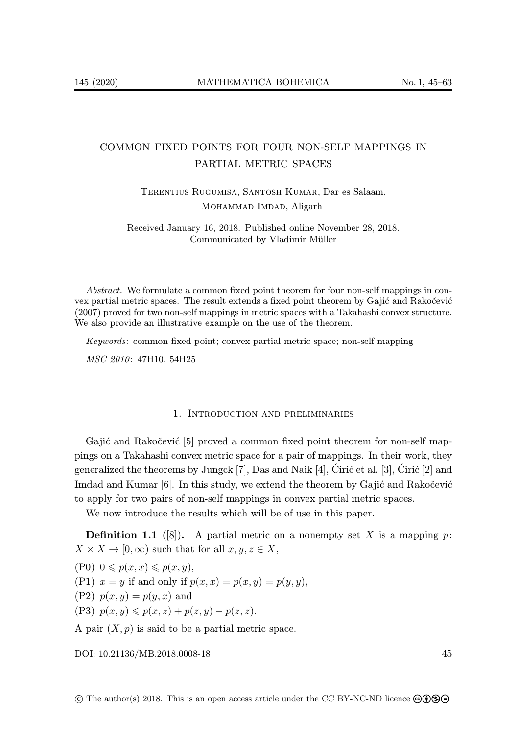## COMMON FIXED POINTS FOR FOUR NON-SELF MAPPINGS IN PARTIAL METRIC SPACES

Terentius Rugumisa, Santosh Kumar, Dar es Salaam, MOHAMMAD IMDAD, Aligarh

Received January 16, 2018. Published online November 28, 2018. Communicated by Vladimír Müller

Abstract. We formulate a common fixed point theorem for four non-self mappings in convex partial metric spaces. The result extends a fixed point theorem by Gajić and Rakočević (2007) proved for two non-self mappings in metric spaces with a Takahashi convex structure. We also provide an illustrative example on the use of the theorem.

Keywords: common fixed point; convex partial metric space; non-self mapping

MSC 2010: 47H10, 54H25

#### 1. Introduction and preliminaries

Gajić and Rakočević [5] proved a common fixed point theorem for non-self mappings on a Takahashi convex metric space for a pair of mappings. In their work, they generalized the theorems by Jungck [7], Das and Naik [4], Ciric et al. [3], Ciric [2] and Imdad and Kumar  $[6]$ . In this study, we extend the theorem by Gajić and Rakočević to apply for two pairs of non-self mappings in convex partial metric spaces.

We now introduce the results which will be of use in this paper.

**Definition 1.1** ([8]). A partial metric on a nonempty set X is a mapping p:  $X \times X \to [0, \infty)$  such that for all  $x, y, z \in X$ ,

 $(P0)$   $0 \leqslant p(x, x) \leqslant p(x, y),$ 

(P1)  $x = y$  if and only if  $p(x, x) = p(x, y) = p(y, y)$ ,

(P2)  $p(x, y) = p(y, x)$  and

(P3)  $p(x, y) \leqslant p(x, z) + p(z, y) - p(z, z).$ 

A pair  $(X, p)$  is said to be a partial metric space.

[DOI: 10.21136/MB.2018.0008-18](http://dx.doi.org/10.21136/MB.2018.0008-18) 45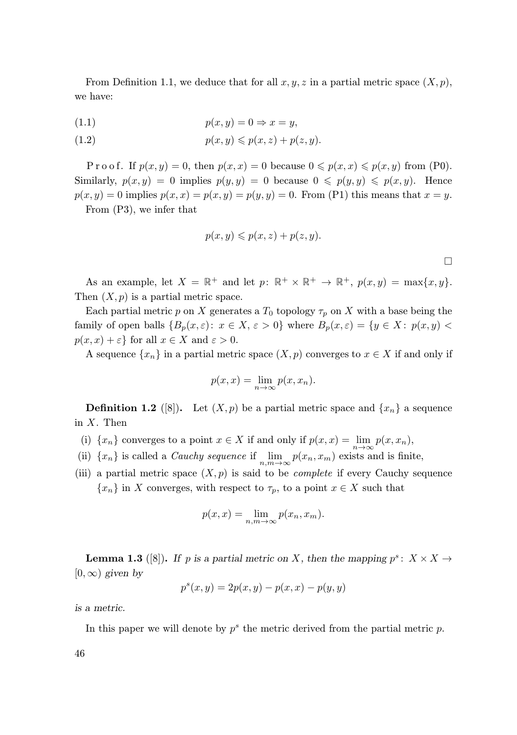From Definition 1.1, we deduce that for all  $x, y, z$  in a partial metric space  $(X, p)$ , we have:

$$
(1.1) \t\t\t p(x,y) = 0 \Rightarrow x = y,
$$

$$
(1.2) \t\t\t p(x,y) \leqslant p(x,z) + p(z,y).
$$

P r o o f. If  $p(x, y) = 0$ , then  $p(x, x) = 0$  because  $0 \leqslant p(x, x) \leqslant p(x, y)$  from (P0). Similarly,  $p(x, y) = 0$  implies  $p(y, y) = 0$  because  $0 \leqslant p(y, y) \leqslant p(x, y)$ . Hence  $p(x, y) = 0$  implies  $p(x, x) = p(x, y) = p(y, y) = 0$ . From (P1) this means that  $x = y$ . From (P3), we infer that

$$
p(x, y) \leqslant p(x, z) + p(z, y).
$$

 $\Box$ 

As an example, let  $X = \mathbb{R}^+$  and let  $p: \mathbb{R}^+ \times \mathbb{R}^+ \to \mathbb{R}^+, p(x, y) = \max\{x, y\}.$ Then  $(X, p)$  is a partial metric space.

Each partial metric p on X generates a  $T_0$  topology  $\tau_p$  on X with a base being the family of open balls  ${B_p(x, \varepsilon): x \in X, \varepsilon > 0}$  where  $B_p(x, \varepsilon) = {y \in X: p(x, y) <$  $p(x, x) + \varepsilon$  for all  $x \in X$  and  $\varepsilon > 0$ .

A sequence  $\{x_n\}$  in a partial metric space  $(X, p)$  converges to  $x \in X$  if and only if

$$
p(x,x) = \lim_{n \to \infty} p(x, x_n).
$$

**Definition 1.2** ([8]). Let  $(X, p)$  be a partial metric space and  $\{x_n\}$  a sequence in  $X$ . Then

- (i)  $\{x_n\}$  converges to a point  $x \in X$  if and only if  $p(x, x) = \lim_{n \to \infty} p(x, x_n)$ ,
- (ii)  $\{x_n\}$  is called a *Cauchy sequence* if  $\lim_{n,m\to\infty} p(x_n, x_m)$  exists and is finite,
- (iii) a partial metric space  $(X, p)$  is said to be *complete* if every Cauchy sequence  ${x_n}$  in X converges, with respect to  $\tau_p$ , to a point  $x \in X$  such that

$$
p(x, x) = \lim_{n,m \to \infty} p(x_n, x_m).
$$

**Lemma 1.3** ([8]). If p is a partial metric on X, then the mapping  $p^s: X \times X \rightarrow$  $[0, \infty)$  *given by* 

$$
p^{s}(x, y) = 2p(x, y) - p(x, x) - p(y, y)
$$

*is a metric.*

In this paper we will denote by  $p^s$  the metric derived from the partial metric  $p$ .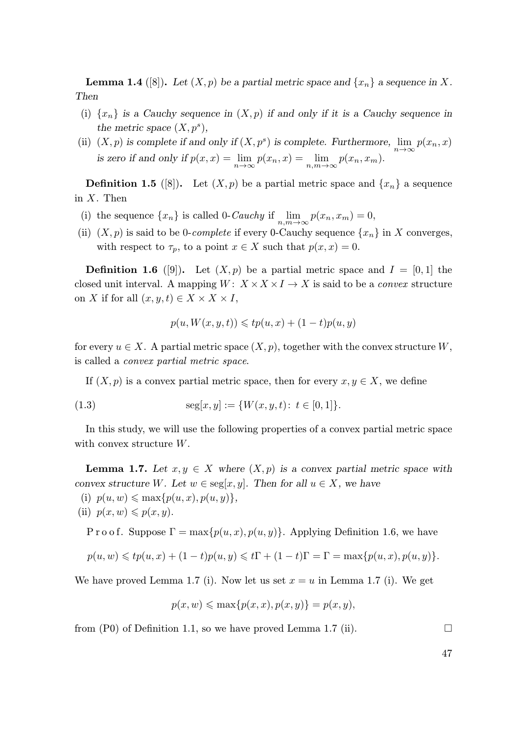**Lemma 1.4** ([8]). Let  $(X, p)$  be a partial metric space and  $\{x_n\}$  a sequence in X. *Then*

- (i)  $\{x_n\}$  *is a Cauchy sequence in*  $(X, p)$  *if and only if it is a Cauchy sequence in the metric space*  $(X, p^s)$ *,*
- (ii)  $(X, p)$  is complete if and only if  $(X, p^s)$  is complete. Furthermore,  $\lim_{n\to\infty} p(x_n, x)$ *is zero if and only if*  $p(x, x) = \lim_{n \to \infty} p(x_n, x) = \lim_{n,m \to \infty} p(x_n, x_m)$ .

**Definition 1.5** ([8]). Let  $(X, p)$  be a partial metric space and  $\{x_n\}$  a sequence in  $X$ . Then

- (i) the sequence  $\{x_n\}$  is called 0-Cauchy if  $\lim_{n,m\to\infty} p(x_n, x_m) = 0$ ,
- (ii)  $(X, p)$  is said to be 0-complete if every 0-Cauchy sequence  $\{x_n\}$  in X converges, with respect to  $\tau_p$ , to a point  $x \in X$  such that  $p(x, x) = 0$ .

**Definition 1.6** ([9]). Let  $(X, p)$  be a partial metric space and  $I = [0, 1]$  the closed unit interval. A mapping  $W: X \times X \times I \rightarrow X$  is said to be a *convex* structure on X if for all  $(x, y, t) \in X \times X \times I$ ,

$$
p(u, W(x, y, t)) \leqslant tp(u, x) + (1 - t)p(u, y)
$$

for every  $u \in X$ . A partial metric space  $(X, p)$ , together with the convex structure W, is called a convex partial metric space.

If  $(X, p)$  is a convex partial metric space, then for every  $x, y \in X$ , we define

(1.3) 
$$
\text{seg}[x, y] := \{W(x, y, t): t \in [0, 1]\}.
$$

In this study, we will use the following properties of a convex partial metric space with convex structure W.

**Lemma 1.7.** Let  $x, y \in X$  where  $(X, p)$  is a convex partial metric space with *convex structure* W. Let  $w \in \text{seg}[x, y]$ . Then for all  $u \in X$ , we have

(i)  $p(u, w) \leq \max\{p(u, x), p(u, y)\}\,$ 

(ii) 
$$
p(x, w) \leq p(x, y)
$$
.

P r o o f. Suppose  $\Gamma = \max\{p(u, x), p(u, y)\}\$ . Applying Definition 1.6, we have

$$
p(u, w) \leq t p(u, x) + (1 - t) p(u, y) \leq t \Gamma + (1 - t) \Gamma = \Gamma = \max\{p(u, x), p(u, y)\}.
$$

We have proved Lemma 1.7 (i). Now let us set  $x = u$  in Lemma 1.7 (i). We get

$$
p(x, w) \le \max\{p(x, x), p(x, y)\} = p(x, y),
$$

from  $(P0)$  of Definition 1.1, so we have proved Lemma 1.7 (ii).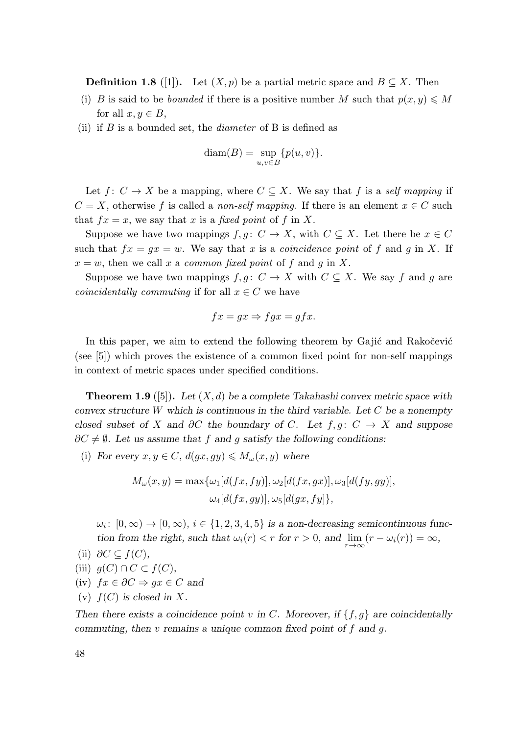**Definition 1.8** ([1]). Let  $(X, p)$  be a partial metric space and  $B \subseteq X$ . Then

- (i) B is said to be *bounded* if there is a positive number M such that  $p(x, y) \leq M$ for all  $x, y \in B$ ,
- (ii) if  $B$  is a bounded set, the *diameter* of  $B$  is defined as

$$
diam(B) = \sup_{u,v \in B} \{p(u,v)\}.
$$

Let  $f: C \to X$  be a mapping, where  $C \subseteq X$ . We say that f is a self mapping if  $C = X$ , otherwise f is called a non-self mapping. If there is an element  $x \in C$  such that  $fx = x$ , we say that x is a fixed point of f in X.

Suppose we have two mappings  $f, g \colon C \to X$ , with  $C \subseteq X$ . Let there be  $x \in C$ such that  $fx = gx = w$ . We say that x is a *coincidence point* of f and g in X. If  $x = w$ , then we call x a common fixed point of f and g in X.

Suppose we have two mappings  $f, g \colon C \to X$  with  $C \subseteq X$ . We say f and g are *coincidentally commuting* if for all  $x \in C$  we have

$$
fx = gx \Rightarrow fgx = gfx.
$$

In this paper, we aim to extend the following theorem by Gajić and Rakočević (see [5]) which proves the existence of a common fixed point for non-self mappings in context of metric spaces under specified conditions.

Theorem 1.9 ([5]). *Let* (X, d) *be a complete Takahashi convex metric space with convex structure* W *which is continuous in the third variable. Let* C *be a nonempty closed subset of* X and  $\partial C$  *the boundary of* C. Let  $f, g: C \rightarrow X$  and suppose  $\partial C \neq \emptyset$ . Let us assume that f and g satisfy the following conditions:

(i) *For every*  $x, y \in C$ *,*  $d(gx, gy) \leq M_{\omega}(x, y)$  where

$$
M_{\omega}(x,y) = \max{\{\omega_1[d(fx, fy)], \omega_2[d(fx, gx)], \omega_3[d(fy, gy)]\}},
$$
  

$$
\omega_4[d(fx, gy)], \omega_5[d(gx, fy)],
$$

 $\omega_i: [0, \infty) \to [0, \infty), i \in \{1, 2, 3, 4, 5\}$  *is a non-decreasing semicontinuous function from the right, such that*  $\omega_i(r) < r$  *for*  $r > 0$ *, and*  $\lim_{r \to \infty} (r - \omega_i(r)) = \infty$ *,*  $\lim_{t \to 0} 20 \subset f(0)$ 

(ii) 
$$
\partial C \subseteq f(C)
$$
,

- (iii)  $q(C) \cap C \subset f(C)$ ,
- (iv) fx ∈ ∂C ⇒ gx ∈ C *and*
- (v)  $f(C)$  *is closed in X*.

Then there exists a coincidence point v in C. Moreover, if  $\{f, g\}$  are coincidentally *commuting, then* v *remains a unique common fixed point of* f *and* g*.*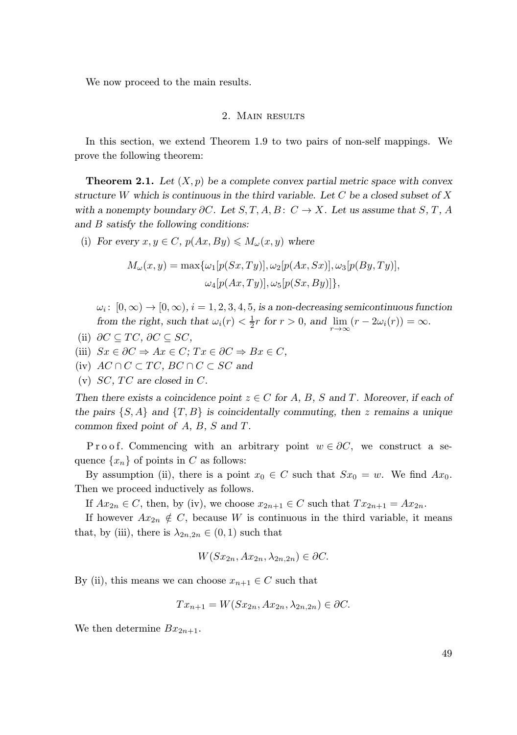We now proceed to the main results.

### 2. Main results

In this section, we extend Theorem 1.9 to two pairs of non-self mappings. We prove the following theorem:

**Theorem 2.1.** Let  $(X, p)$  be a complete convex partial metric space with convex *structure* W *which is continuous in the third variable. Let* C *be a closed subset of* X *with a nonempty boundary*  $\partial C$ *. Let*  $S, T, A, B$ :  $C \rightarrow X$ *. Let us assume that*  $S, T, A$ *and* B *satisfy the following conditions:*

(i) *For every*  $x, y \in C$ *,*  $p(Ax, By) \leq M_{\omega}(x, y)$  where

$$
M_{\omega}(x,y) = \max{\{\omega_1[p(Sx,Ty)], \omega_2[p(Ax, Sx)], \omega_3[p(By,Ty)]\}},
$$
  

$$
\omega_4[p(Ax,Ty)], \omega_5[p(Sx, By)]\},
$$

 $\omega_i \colon [0, \infty) \to [0, \infty), i = 1, 2, 3, 4, 5$ , is a non-decreasing semicontinuous function *from the right, such that*  $\omega_i(r) < \frac{1}{2}r$  *for*  $r > 0$ *, and*  $\lim_{r \to \infty} (r - 2\omega_i(r)) = \infty$ *.* 

- (ii)  $\partial C \subseteq TC$ ,  $\partial C \subseteq SC$ ,
- (iii)  $Sx \in \partial C \Rightarrow Ax \in C$ ;  $Tx \in \partial C \Rightarrow Bx \in C$ ,
- (iv)  $AC \cap C \subset TC$ ,  $BC \cap C \subset SC$  and
- (v)  $SC, TC$  are closed in C.

*Then there exists a coincidence point*  $z \in C$  *for* A, B, S and T. Moreover, if each of *the pairs*  $\{S, A\}$  *and*  $\{T, B\}$  *is coincidentally commuting, then* z *remains a unique common fixed point of* A*,* B*,* S *and* T *.*

P r o o f. Commencing with an arbitrary point  $w \in \partial C$ , we construct a sequence  $\{x_n\}$  of points in C as follows:

By assumption (ii), there is a point  $x_0 \in C$  such that  $Sx_0 = w$ . We find  $Ax_0$ . Then we proceed inductively as follows.

If  $Ax_{2n} \in C$ , then, by (iv), we choose  $x_{2n+1} \in C$  such that  $Tx_{2n+1} = Ax_{2n}$ .

If however  $Ax_{2n} \notin C$ , because W is continuous in the third variable, it means that, by (iii), there is  $\lambda_{2n,2n} \in (0,1)$  such that

$$
W(Sx_{2n}, Ax_{2n}, \lambda_{2n, 2n}) \in \partial C.
$$

By (ii), this means we can choose  $x_{n+1} \in C$  such that

$$
Tx_{n+1} = W(Sx_{2n}, Ax_{2n}, \lambda_{2n, 2n}) \in \partial C.
$$

We then determine  $Bx_{2n+1}$ .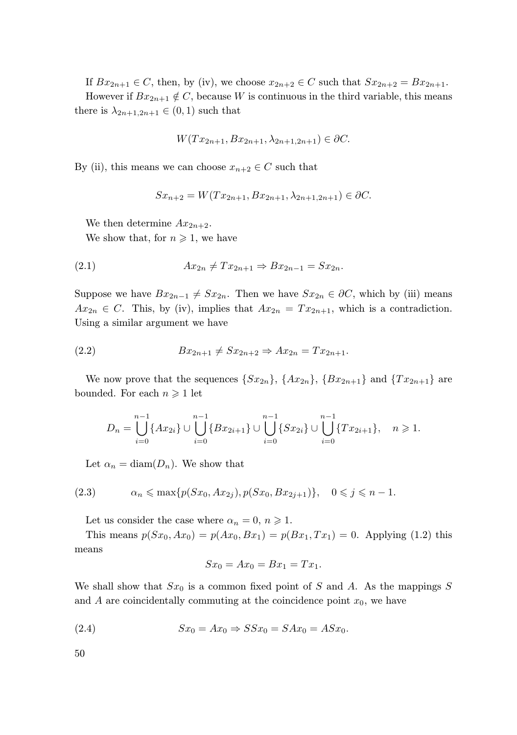If  $Bx_{2n+1} \in C$ , then, by (iv), we choose  $x_{2n+2} \in C$  such that  $Sx_{2n+2} = Bx_{2n+1}$ . However if  $Bx_{2n+1} \notin C$ , because W is continuous in the third variable, this means there is  $\lambda_{2n+1,2n+1} \in (0,1)$  such that

$$
W(Tx_{2n+1}, Bx_{2n+1}, \lambda_{2n+1, 2n+1}) \in \partial C.
$$

By (ii), this means we can choose  $x_{n+2} \in C$  such that

$$
Sx_{n+2} = W(Tx_{2n+1}, Bx_{2n+1}, \lambda_{2n+1, 2n+1}) \in \partial C.
$$

We then determine  $Ax_{2n+2}$ . We show that, for  $n \geq 1$ , we have

$$
(2.1) \t\t Ax_{2n} \neq Tx_{2n+1} \Rightarrow Bx_{2n-1} = Sx_{2n}.
$$

Suppose we have  $Bx_{2n-1} \neq Sx_{2n}$ . Then we have  $Sx_{2n} \in \partial C$ , which by (iii) means  $Ax_{2n} \in C$ . This, by (iv), implies that  $Ax_{2n} = Tx_{2n+1}$ , which is a contradiction. Using a similar argument we have

(2.2) 
$$
Bx_{2n+1} \neq Sx_{2n+2} \Rightarrow Ax_{2n} = Tx_{2n+1}.
$$

We now prove that the sequences  $\{Sx_{2n}\}, \{Ax_{2n}\}, \{Bx_{2n+1}\}\$  and  $\{Tx_{2n+1}\}\$  are bounded. For each  $n \geqslant 1$  let

$$
D_n = \bigcup_{i=0}^{n-1} \{Ax_{2i}\} \cup \bigcup_{i=0}^{n-1} \{Bx_{2i+1}\} \cup \bigcup_{i=0}^{n-1} \{Sx_{2i}\} \cup \bigcup_{i=0}^{n-1} \{Tx_{2i+1}\}, \quad n \geq 1.
$$

Let  $\alpha_n = \text{diam}(D_n)$ . We show that

$$
(2.3) \qquad \alpha_n \leq \max\{p(Sx_0, Ax_{2j}), p(Sx_0, Bx_{2j+1})\}, \quad 0 \leq j \leq n-1.
$$

Let us consider the case where  $\alpha_n = 0, n \geq 1$ .

This means  $p(Sx_0, Ax_0) = p(Ax_0, Bx_1) = p(Bx_1, Tx_1) = 0$ . Applying (1.2) this means

$$
Sx_0 = Ax_0 = Bx_1 = Tx_1.
$$

We shall show that  $Sx_0$  is a common fixed point of S and A. As the mappings S and  $A$  are coincidentally commuting at the coincidence point  $x_0$ , we have

(2.4) 
$$
Sx_0 = Ax_0 \Rightarrow SSx_0 = SAx_0 = ASx_0.
$$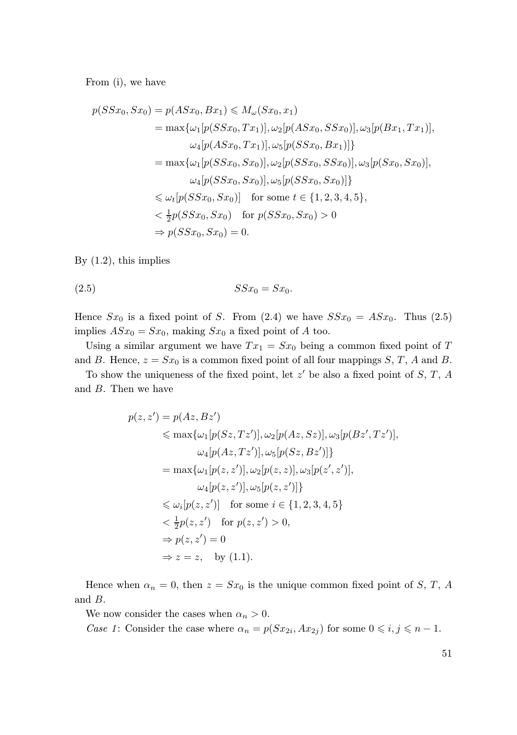From (i), we have

$$
p(SSx_0, Sx_0) = p(ASx_0, Bx_1) \leq M_{\omega}(Sx_0, x_1)
$$
  
\n
$$
= \max{\{\omega_1[p(SSx_0, Tx_1)], \omega_2[p(ASx_0, SSx_0)], \omega_3[p(Bx_1, Tx_1)], \omega_4[p(ASx_0, Tx_1)], \omega_5[p(SSx_0, Bx_1)]\}}
$$
  
\n
$$
= \max{\{\omega_1[p(SSx_0, Sx_0)], \omega_2[p(SSx_0, SSx_0)], \omega_3[p(Sx_0, Sx_0)], \omega_4[p(SSx_0, Sx_0)], \omega_5[p(SSx_0, Sx_0)]\}}
$$
  
\n
$$
\leq \omega_t[p(SSx_0, Sx_0)] \text{ for some } t \in \{1, 2, 3, 4, 5\}, \omega_5 = \frac{1}{2}p(SSx_0, Sx_0) \text{ for } p(SSx_0, Sx_0) > 0
$$
  
\n
$$
\Rightarrow p(SSx_0, Sx_0) = 0.
$$

By (1.2), this implies

$$
(2.5) \t\t SSx_0 = Sx_0.
$$

Hence  $Sx_0$  is a fixed point of S. From (2.4) we have  $SSx_0 = ASx_0$ . Thus (2.5) implies  $ASx_0 = Sx_0$ , making  $Sx_0$  a fixed point of A too.

Using a similar argument we have  $Tx_1 = Sx_0$  being a common fixed point of T and B. Hence,  $z = Sx_0$  is a common fixed point of all four mappings S, T, A and B.

To show the uniqueness of the fixed point, let  $z'$  be also a fixed point of  $S, T, A$ and B. Then we have

$$
p(z, z') = p(Az, Bz')
$$
  
\n
$$
\leq \max\{\omega_1[p(Sz, Tz')], \omega_2[p(Az, Sz)], \omega_3[p(Bz', Tz')],
$$
  
\n
$$
\omega_4[p(Az, Tz')], \omega_5[p(Sz, Bz')]\}
$$
  
\n
$$
= \max\{\omega_1[p(z, z')], \omega_2[p(z, z)], \omega_3[p(z', z')],
$$
  
\n
$$
\omega_4[p(z, z')] \text{ for some } i \in \{1, 2, 3, 4, 5\}
$$
  
\n
$$
< \frac{1}{2}p(z, z') \text{ for } p(z, z') > 0,
$$
  
\n
$$
\Rightarrow p(z, z') = 0
$$
  
\n
$$
\Rightarrow z = z, \text{ by (1.1)}.
$$

Hence when  $\alpha_n = 0$ , then  $z = Sx_0$  is the unique common fixed point of S, T, A and B.

We now consider the cases when  $\alpha_n > 0$ .

Case 1: Consider the case where  $\alpha_n = p(Sx_{2i}, Ax_{2j})$  for some  $0 \leq i, j \leq n-1$ .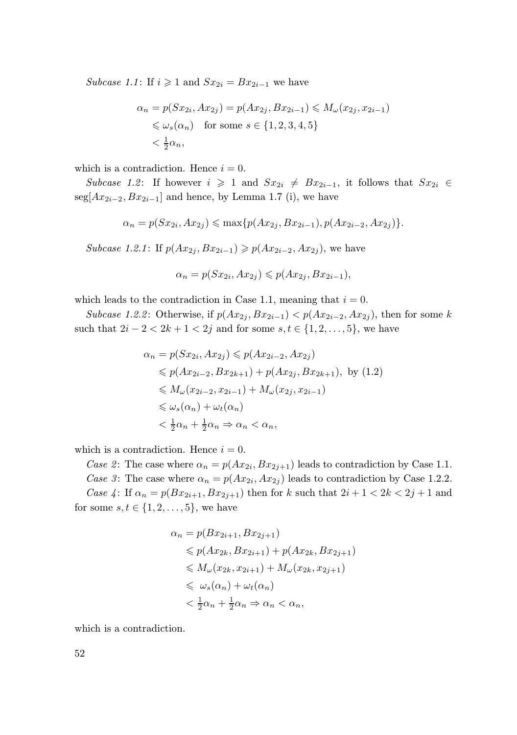Subcase 1.1: If  $i \geq 1$  and  $Sx_{2i} = Bx_{2i-1}$  we have

$$
\alpha_n = p(Sx_{2i}, Ax_{2j}) = p(Ax_{2j}, Bx_{2i-1}) \le M_\omega(x_{2j}, x_{2i-1})
$$
  

$$
\le \omega_s(\alpha_n) \quad \text{for some } s \in \{1, 2, 3, 4, 5\}
$$
  

$$
< \frac{1}{2}\alpha_n,
$$

which is a contradiction. Hence  $i = 0$ .

Subcase 1.2: If however  $i \geq 1$  and  $Sx_{2i} \neq Bx_{2i-1}$ , it follows that  $Sx_{2i} \in$ seg[ $Ax_{2i-2}, Bx_{2i-1}$ ] and hence, by Lemma 1.7 (i), we have

$$
\alpha_n = p(Sx_{2i}, Ax_{2j}) \le \max\{p(Ax_{2j}, Bx_{2i-1}), p(Ax_{2i-2}, Ax_{2j})\}.
$$

Subcase 1.2.1: If  $p(Ax_{2i}, Bx_{2i-1}) \geq p(Ax_{2i-2}, Ax_{2i})$ , we have

$$
\alpha_n = p(Sx_{2i}, Ax_{2j}) \leqslant p(Ax_{2j}, Bx_{2i-1}),
$$

which leads to the contradiction in Case 1.1, meaning that  $i = 0$ .

Subcase 1.2.2: Otherwise, if  $p(Ax_{2i}, Bx_{2i-1}) < p(Ax_{2i-2}, Ax_{2i})$ , then for some k such that  $2i - 2 < 2k + 1 < 2j$  and for some  $s, t \in \{1, 2, ..., 5\}$ , we have

$$
\alpha_n = p(Sx_{2i}, Ax_{2j}) \leqslant p(Ax_{2i-2}, Ax_{2j})
$$
  
\n
$$
\leqslant p(Ax_{2i-2}, Bx_{2k+1}) + p(Ax_{2j}, Bx_{2k+1}), \text{ by (1.2)}
$$
  
\n
$$
\leqslant M_{\omega}(x_{2i-2}, x_{2i-1}) + M_{\omega}(x_{2j}, x_{2i-1})
$$
  
\n
$$
\leqslant \omega_s(\alpha_n) + \omega_t(\alpha_n)
$$
  
\n
$$
< \frac{1}{2}\alpha_n + \frac{1}{2}\alpha_n \Rightarrow \alpha_n < \alpha_n,
$$

which is a contradiction. Hence  $i = 0$ .

Case 2: The case where  $\alpha_n = p(Ax_{2i}, Bx_{2j+1})$  leads to contradiction by Case 1.1. Case 3: The case where  $\alpha_n = p(Ax_{2i}, Ax_{2j})$  leads to contradiction by Case 1.2.2. Case 4: If  $\alpha_n = p(Bx_{2i+1}, Bx_{2i+1})$  then for k such that  $2i + 1 < 2k < 2j + 1$  and for some  $s, t \in \{1, 2, ..., 5\}$ , we have

$$
\alpha_n = p(Bx_{2i+1}, Bx_{2j+1})
$$
  
\n
$$
\leq p(Ax_{2k}, Bx_{2i+1}) + p(Ax_{2k}, Bx_{2j+1})
$$
  
\n
$$
\leq M_{\omega}(x_{2k}, x_{2i+1}) + M_{\omega}(x_{2k}, x_{2j+1})
$$
  
\n
$$
\leq \omega_s(\alpha_n) + \omega_t(\alpha_n)
$$
  
\n
$$
< \frac{1}{2}\alpha_n + \frac{1}{2}\alpha_n \Rightarrow \alpha_n < \alpha_n,
$$

which is a contradiction.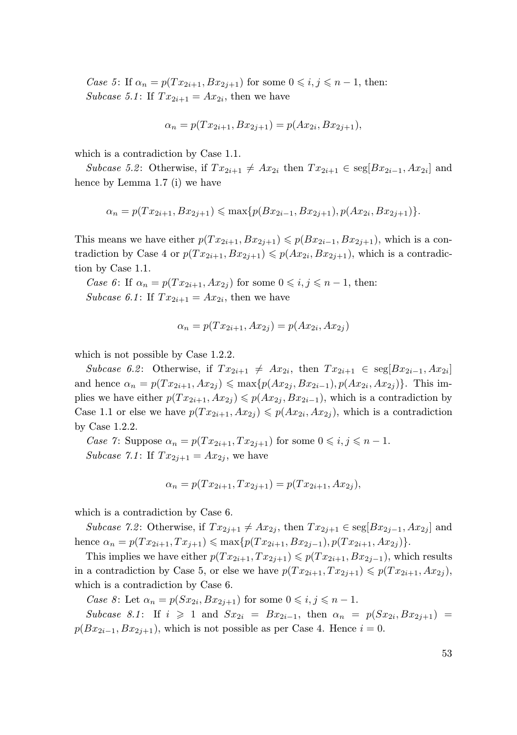Case 5: If  $\alpha_n = p(T x_{2i+1}, B x_{2i+1})$  for some  $0 \leq i, j \leq n-1$ , then: Subcase 5.1: If  $Tx_{2i+1} = Ax_{2i}$ , then we have

$$
\alpha_n = p(Tx_{2i+1}, Bx_{2j+1}) = p(Ax_{2i}, Bx_{2j+1}),
$$

which is a contradiction by Case 1.1.

Subcase 5.2: Otherwise, if  $Tx_{2i+1} \neq Ax_{2i}$  then  $Tx_{2i+1} \in \text{seg}[Bx_{2i-1}, Ax_{2i}]$  and hence by Lemma 1.7 (i) we have

$$
\alpha_n = p(Tx_{2i+1}, Bx_{2j+1}) \le \max\{p(Bx_{2i-1}, Bx_{2j+1}), p(Ax_{2i}, Bx_{2j+1})\}.
$$

This means we have either  $p(T x_{2i+1}, B x_{2i+1}) \leqslant p(B x_{2i-1}, B x_{2i+1})$ , which is a contradiction by Case 4 or  $p(Tx_{2i+1}, Bx_{2j+1}) \leqslant p(Ax_{2i}, Bx_{2j+1})$ , which is a contradiction by Case 1.1.

Case 6: If  $\alpha_n = p(T x_{2i+1}, Ax_{2j})$  for some  $0 \leq i, j \leq n-1$ , then: Subcase 6.1: If  $Tx_{2i+1} = Ax_{2i}$ , then we have

$$
\alpha_n = p(Tx_{2i+1}, Ax_{2j}) = p(Ax_{2i}, Ax_{2j})
$$

which is not possible by Case 1.2.2.

Subcase 6.2: Otherwise, if  $Tx_{2i+1} \neq Ax_{2i}$ , then  $Tx_{2i+1} \in \text{seg}[Bx_{2i-1}, Ax_{2i}]$ and hence  $\alpha_n = p(T x_{2i+1}, Ax_{2j}) \leq \max\{p(Ax_{2j}, Bx_{2i-1}), p(Ax_{2i}, Ax_{2j})\}$ . This implies we have either  $p(T x_{2i+1}, Ax_{2i}) \leqslant p(A x_{2i}, B x_{2i-1})$ , which is a contradiction by Case 1.1 or else we have  $p(Tx_{2i+1}, Ax_{2j}) \leqslant p(Ax_{2i}, Ax_{2j})$ , which is a contradiction by Case 1.2.2.

Case 7: Suppose  $\alpha_n = p(T x_{2i+1}, T x_{2j+1})$  for some  $0 \leq i, j \leq n-1$ . Subcase 7.1: If  $Tx_{2j+1} = Ax_{2j}$ , we have

$$
\alpha_n = p(Tx_{2i+1}, Tx_{2j+1}) = p(Tx_{2i+1}, Ax_{2j}),
$$

which is a contradiction by Case 6.

Subcase 7.2: Otherwise, if  $Tx_{2j+1} \neq Ax_{2j}$ , then  $Tx_{2j+1} \in \text{seg}[Bx_{2j-1}, Ax_{2j}]$  and hence  $\alpha_n = p(T x_{2i+1}, Tx_{i+1}) \leq \max\{p(T x_{2i+1}, B x_{2i-1}), p(T x_{2i+1}, Ax_{2i})\}.$ 

This implies we have either  $p(T x_{2i+1}, T x_{2i+1}) \leqslant p(T x_{2i+1}, B x_{2i-1})$ , which results in a contradiction by Case 5, or else we have  $p(T x_{2i+1}, T x_{2j+1}) \leqslant p(T x_{2i+1}, A x_{2j}),$ which is a contradiction by Case 6.

Case 8: Let  $\alpha_n = p(Sx_{2i}, Bx_{2j+1})$  for some  $0 \leq i, j \leq n-1$ .

Subcase 8.1: If  $i \geq 1$  and  $Sx_{2i} = Bx_{2i-1}$ , then  $\alpha_n = p(Sx_{2i}, Bx_{2j+1}) =$  $p(Bx_{2i-1}, Bx_{2i+1})$ , which is not possible as per Case 4. Hence  $i = 0$ .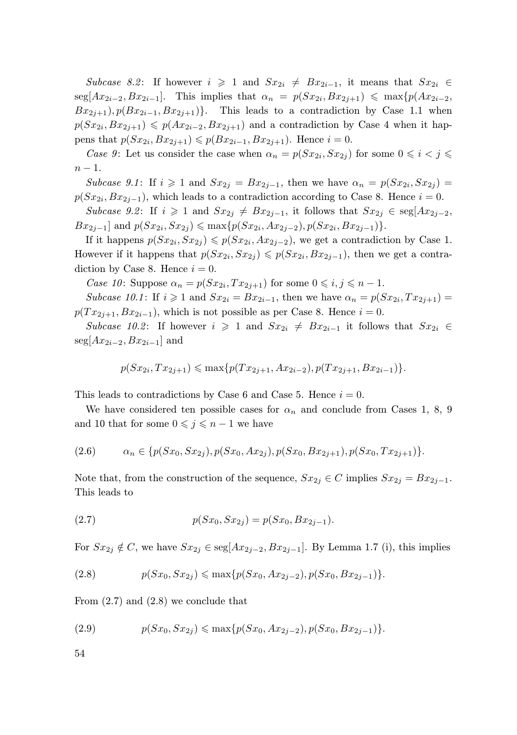Subcase 8.2: If however  $i \geq 1$  and  $Sx_{2i} \neq Bx_{2i-1}$ , it means that  $Sx_{2i} \in$  $\text{seg}[Ax_{2i-2}, Bx_{2i-1}].$  This implies that  $\alpha_n = p(Sx_{2i}, Bx_{2j+1}) \leq \max\{p(Ax_{2i-2}, Bx_{2j-1})\}$  $Bx_{2i+1}, p(Bx_{2i-1}, Bx_{2i+1})\}$ . This leads to a contradiction by Case 1.1 when  $p(Sx_{2i}, Bx_{2j+1}) \leqslant p(Ax_{2i-2}, Bx_{2j+1})$  and a contradiction by Case 4 when it happens that  $p(Sx_{2i}, Bx_{2j+1}) \leqslant p(Bx_{2i-1}, Bx_{2j+1})$ . Hence  $i = 0$ .

Case 9: Let us consider the case when  $\alpha_n = p(Sx_{2i}, Sx_{2j})$  for some  $0 \leq i < j \leq$  $n-1$ .

Subcase 9.1: If  $i \geq 1$  and  $Sx_{2j} = Bx_{2j-1}$ , then we have  $\alpha_n = p(Sx_{2i}, Sx_{2j}) =$  $p(Sx_{2i}, Bx_{2j-1})$ , which leads to a contradiction according to Case 8. Hence  $i = 0$ .

Subcase 9.2: If  $i \geq 1$  and  $Sx_{2j} \neq Bx_{2j-1}$ , it follows that  $Sx_{2j} \in \text{seg}[Ax_{2j-2},$  $Bx_{2j-1}$  and  $p(Sx_{2i}, Sx_{2j}) \leq \max\{p(Sx_{2i}, Ax_{2j-2}), p(Sx_{2i}, Bx_{2j-1})\}.$ 

If it happens  $p(Sx_{2i}, Sx_{2j}) \leq p(Sx_{2i}, Ax_{2j-2})$ , we get a contradiction by Case 1. However if it happens that  $p(Sx_{2i}, Sx_{2j}) \leqslant p(Sx_{2i}, Bx_{2j-1})$ , then we get a contradiction by Case 8. Hence  $i = 0$ .

Case 10: Suppose  $\alpha_n = p(Sx_{2i}, Tx_{2j+1})$  for some  $0 \leq i, j \leq n-1$ .

Subcase 10.1: If  $i \geq 1$  and  $Sx_{2i} = Bx_{2i-1}$ , then we have  $\alpha_n = p(Sx_{2i}, Tx_{2j+1}) =$  $p(T x_{2i+1}, B x_{2i-1})$ , which is not possible as per Case 8. Hence  $i = 0$ .

Subcase 10.2: If however  $i \geq 1$  and  $Sx_{2i} \neq Bx_{2i-1}$  it follows that  $Sx_{2i} \in$  $\text{seg}[Ax_{2i-2}, Bx_{2i-1}]$  and

$$
p(Sx_{2i}, Tx_{2j+1}) \le \max\{p(Tx_{2j+1}, Ax_{2i-2}), p(Tx_{2j+1}, Bx_{2i-1})\}.
$$

This leads to contradictions by Case 6 and Case 5. Hence  $i = 0$ .

We have considered ten possible cases for  $\alpha_n$  and conclude from Cases 1, 8, 9 and 10 that for some  $0 \leq j \leq n-1$  we have

$$
(2.6) \qquad \alpha_n \in \{p(Sx_0, Sx_{2j}), p(Sx_0, Ax_{2j}), p(Sx_0, Bx_{2j+1}), p(Sx_0, Tx_{2j+1})\}.
$$

Note that, from the construction of the sequence,  $Sx_{2j} \in C$  implies  $Sx_{2j} = Bx_{2j-1}$ . This leads to

(2.7) 
$$
p(Sx_0, Sx_{2j}) = p(Sx_0, Bx_{2j-1}).
$$

For  $Sx_{2j} \notin C$ , we have  $Sx_{2j} \in \text{seg}[Ax_{2j-2}, Bx_{2j-1}]$ . By Lemma 1.7 (i), this implies

$$
(2.8) \t\t p(Sx_0, Sx_{2j}) \leq \max\{p(Sx_0, Ax_{2j-2}), p(Sx_0, Bx_{2j-1})\}.
$$

From  $(2.7)$  and  $(2.8)$  we conclude that

$$
(2.9) \t\t p(Sx_0, Sx_{2j}) \leq \max\{p(Sx_0, Ax_{2j-2}), p(Sx_0, Bx_{2j-1})\}.
$$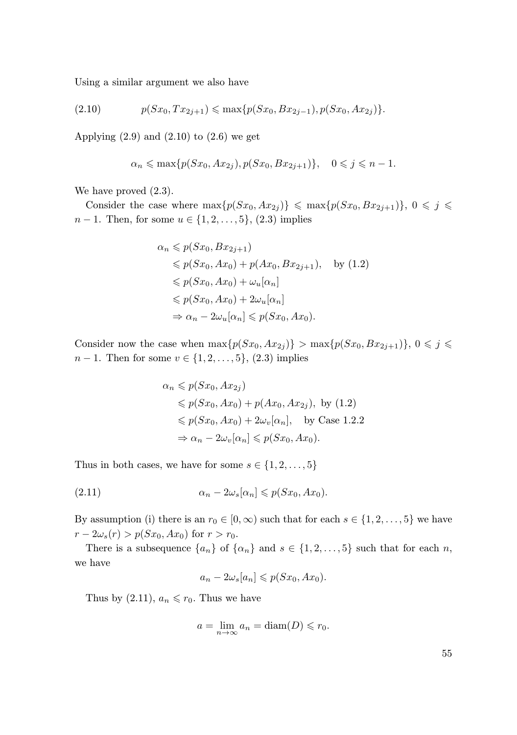Using a similar argument we also have

$$
(2.10) \t\t p(Sx_0, Tx_{2j+1}) \le \max\{p(Sx_0, Bx_{2j-1}), p(Sx_0, Ax_{2j})\}.
$$

Applying  $(2.9)$  and  $(2.10)$  to  $(2.6)$  we get

$$
\alpha_n \leqslant \max\{p(Sx_0, Ax_{2j}), p(Sx_0, Bx_{2j+1})\}, \quad 0 \leqslant j \leqslant n-1.
$$

We have proved  $(2.3)$ .

Consider the case where  $\max\{p(Sx_0, Ax_{2i})\} \leq \max\{p(Sx_0, Bx_{2i+1})\}, 0 \leq j \leq$  $n-1$ . Then, for some  $u \in \{1, 2, ..., 5\}$ ,  $(2.3)$  implies

$$
\alpha_n \leqslant p(Sx_0, Bx_{2j+1})
$$
  
\n
$$
\leqslant p(Sx_0, Ax_0) + p(Ax_0, Bx_{2j+1}), \quad \text{by (1.2)}
$$
  
\n
$$
\leqslant p(Sx_0, Ax_0) + \omega_u[\alpha_n]
$$
  
\n
$$
\leqslant p(Sx_0, Ax_0) + 2\omega_u[\alpha_n]
$$
  
\n
$$
\Rightarrow \alpha_n - 2\omega_u[\alpha_n] \leqslant p(Sx_0, Ax_0).
$$

Consider now the case when  $\max\{p(Sx_0, Ax_{2j})\} > \max\{p(Sx_0, Bx_{2j+1})\}, 0 \leq j \leq$  $n-1$ . Then for some  $v \in \{1, 2, ..., 5\}$ , (2.3) implies

$$
\alpha_n \leqslant p(Sx_0, Ax_{2j})
$$
\n
$$
\leqslant p(Sx_0, Ax_0) + p(Ax_0, Ax_{2j}), \text{ by (1.2)}
$$
\n
$$
\leqslant p(Sx_0, Ax_0) + 2\omega_v[\alpha_n], \text{ by Case 1.2.2}
$$
\n
$$
\Rightarrow \alpha_n - 2\omega_v[\alpha_n] \leqslant p(Sx_0, Ax_0).
$$

Thus in both cases, we have for some  $s \in \{1, 2, \ldots, 5\}$ 

(2.11) α<sup>n</sup> − 2ωs[αn] 6 p(Sx0, Ax0).

By assumption (i) there is an  $r_0 \in [0, \infty)$  such that for each  $s \in \{1, 2, \ldots, 5\}$  we have  $r - 2\omega_s(r) > p(Sx_0, Ax_0)$  for  $r > r_0$ .

There is a subsequence  $\{a_n\}$  of  $\{\alpha_n\}$  and  $s \in \{1, 2, ..., 5\}$  such that for each n, we have

$$
a_n - 2\omega_s[a_n] \leqslant p(Sx_0, Ax_0).
$$

Thus by  $(2.11)$ ,  $a_n \leq r_0$ . Thus we have

$$
a = \lim_{n \to \infty} a_n = \text{diam}(D) \leq r_0.
$$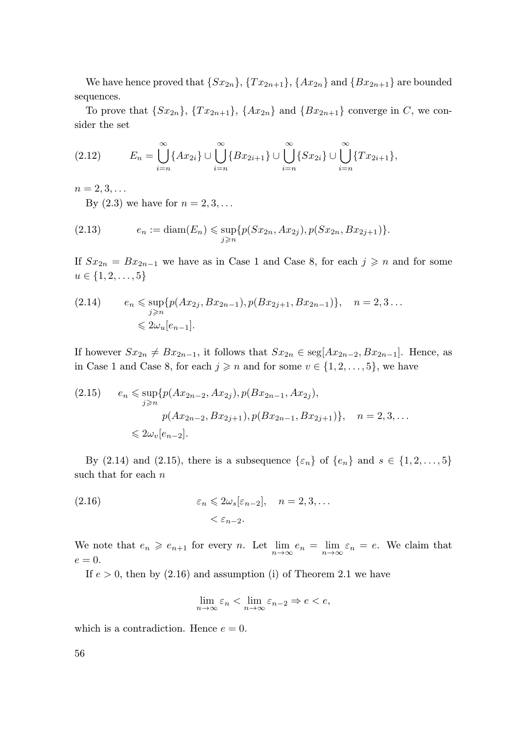We have hence proved that  $\{Sx_{2n}\}, \{Tx_{2n+1}\}, \{Ax_{2n}\}$  and  $\{Bx_{2n+1}\}$  are bounded sequences.

To prove that  $\{Sx_{2n}\}, \{Tx_{2n+1}\}, \{Ax_{2n}\}\$  and  $\{Bx_{2n+1}\}\$  converge in C, we consider the set

$$
(2.12) \t E_n = \bigcup_{i=n}^{\infty} \{Ax_{2i}\} \cup \bigcup_{i=n}^{\infty} \{Bx_{2i+1}\} \cup \bigcup_{i=n}^{\infty} \{Sx_{2i}\} \cup \bigcup_{i=n}^{\infty} \{Tx_{2i+1}\},\
$$

 $n = 2, 3, \ldots$ 

By  $(2.3)$  we have for  $n = 2, 3, \ldots$ 

(2.13) 
$$
e_n := \text{diam}(E_n) \leq \sup_{j \geq n} \{p(Sx_{2n}, Ax_{2j}), p(Sx_{2n}, Bx_{2j+1})\}.
$$

If  $Sx_{2n} = Bx_{2n-1}$  we have as in Case 1 and Case 8, for each  $j \geq n$  and for some  $u \in \{1, 2, \ldots, 5\}$ 

$$
\begin{aligned} (2.14) \qquad & e_n \leq \sup_{j \geq n} \{ p(Ax_{2j}, Bx_{2n-1}), p(Bx_{2j+1}, Bx_{2n-1}) \}, \quad n = 2, 3 \dots \\ & \leq 2\omega_u[e_{n-1}]. \end{aligned}
$$

If however  $Sx_{2n} \neq Bx_{2n-1}$ , it follows that  $Sx_{2n} \in \text{seg}[Ax_{2n-2}, Bx_{2n-1}]$ . Hence, as in Case 1 and Case 8, for each  $j \geq n$  and for some  $v \in \{1, 2, \ldots, 5\}$ , we have

$$
(2.15) \quad e_n \leq \sup_{j \geq n} \{ p(Ax_{2n-2}, Ax_{2j}), p(Bx_{2n-1}, Ax_{2j}),
$$

$$
p(Ax_{2n-2}, Bx_{2j+1}), p(Bx_{2n-1}, Bx_{2j+1}) \}, \quad n = 2, 3, ...
$$

$$
\leq 2\omega_v[e_{n-2}].
$$

By (2.14) and (2.15), there is a subsequence  $\{\varepsilon_n\}$  of  $\{e_n\}$  and  $s \in \{1, 2, ..., 5\}$ such that for each  $n$ 

(2.16) 
$$
\varepsilon_n \leq 2\omega_s[\varepsilon_{n-2}], \quad n = 2, 3, ...
$$

$$
< \varepsilon_{n-2}.
$$

We note that  $e_n \geqslant e_{n+1}$  for every n. Let  $\lim_{n \to \infty} e_n = \lim_{n \to \infty} \varepsilon_n = e$ . We claim that  $e=0.$ 

If  $e > 0$ , then by  $(2.16)$  and assumption (i) of Theorem 2.1 we have

$$
\lim_{n \to \infty} \varepsilon_n < \lim_{n \to \infty} \varepsilon_{n-2} \Rightarrow e < e,
$$

which is a contradiction. Hence  $e = 0$ .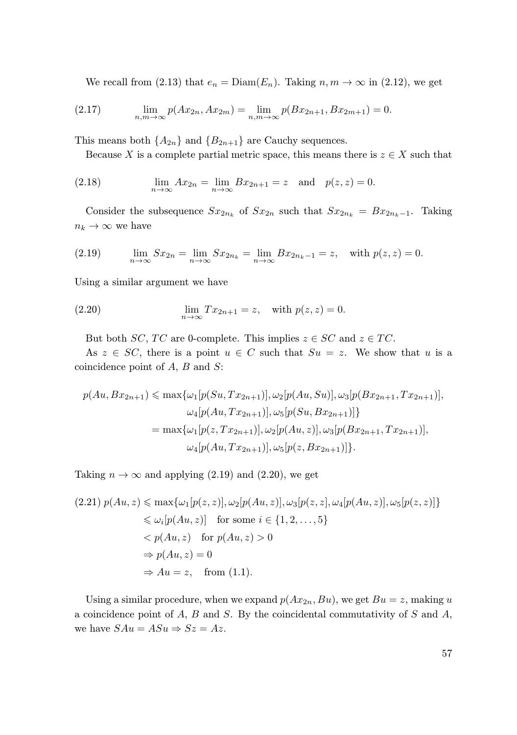We recall from (2.13) that  $e_n = \text{Diam}(E_n)$ . Taking  $n, m \to \infty$  in (2.12), we get

(2.17) 
$$
\lim_{n,m \to \infty} p(Ax_{2n}, Ax_{2m}) = \lim_{n,m \to \infty} p(Bx_{2n+1}, Bx_{2m+1}) = 0.
$$

This means both  $\{A_{2n}\}\$  and  $\{B_{2n+1}\}\$  are Cauchy sequences.

Because X is a complete partial metric space, this means there is  $z \in X$  such that

(2.18) 
$$
\lim_{n \to \infty} Ax_{2n} = \lim_{n \to \infty} Bx_{2n+1} = z \text{ and } p(z, z) = 0.
$$

Consider the subsequence  $Sx_{2n_k}$  of  $Sx_{2n}$  such that  $Sx_{2n_k} = Bx_{2n_k-1}$ . Taking  $n_k \to \infty$  we have

(2.19) 
$$
\lim_{n \to \infty} Sx_{2n} = \lim_{n \to \infty} Sx_{2n_k} = \lim_{n \to \infty} Bx_{2n_k - 1} = z, \text{ with } p(z, z) = 0.
$$

Using a similar argument we have

(2.20) 
$$
\lim_{n \to \infty} Tx_{2n+1} = z, \text{ with } p(z, z) = 0.
$$

But both SC, TC are 0-complete. This implies  $z \in SC$  and  $z \in TC$ .

As  $z \in SC$ , there is a point  $u \in C$  such that  $Su = z$ . We show that u is a coincidence point of A, B and S:

$$
p(Au, Bx_{2n+1}) \le \max\{\omega_1[p(Su, Tx_{2n+1})], \omega_2[p(Au, Su)], \omega_3[p(Bx_{2n+1}, Tx_{2n+1})],
$$
  

$$
\omega_4[p(Au, Tx_{2n+1})], \omega_5[p(Su, Bx_{2n+1})]\}
$$
  

$$
= \max\{\omega_1[p(z, Tx_{2n+1})], \omega_2[p(Au, z)], \omega_3[p(Bx_{2n+1}, Tx_{2n+1})],
$$
  

$$
\omega_4[p(Au, Tx_{2n+1})], \omega_5[p(z, Bx_{2n+1})]\}.
$$

Taking  $n \to \infty$  and applying (2.19) and (2.20), we get

$$
(2.21) \ p(Au, z) \le \max\{\omega_1[p(z, z)], \omega_2[p(Au, z)], \omega_3[p(z, z], \omega_4[p(Au, z)], \omega_5[p(z, z)]\}
$$
  
\n
$$
\le \omega_i[p(Au, z)] \text{ for some } i \in \{1, 2, ..., 5\}
$$
  
\n
$$
< p(Au, z) \text{ for } p(Au, z) > 0
$$
  
\n
$$
\Rightarrow p(Au, z) = 0
$$
  
\n
$$
\Rightarrow Au = z, \text{ from (1.1)}.
$$

Using a similar procedure, when we expand  $p(Ax_{2n}, Bu)$ , we get  $Bu = z$ , making u a coincidence point of  $A$ ,  $B$  and  $S$ . By the coincidental commutativity of  $S$  and  $A$ , we have  $SAu = ASu \Rightarrow Sz = Az$ .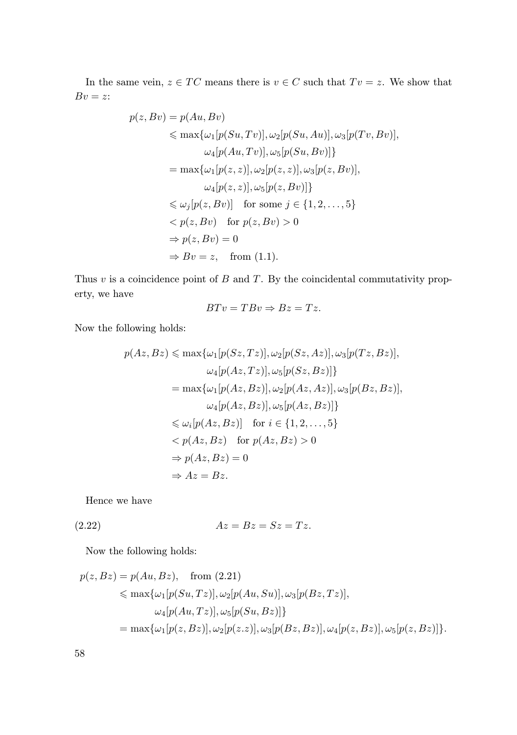In the same vein,  $z \in TC$  means there is  $v \in C$  such that  $Tv = z$ . We show that  $Bv = z$ :

$$
p(z, Bv) = p(Au, Bv)
$$
  
\n
$$
\leq \max\{\omega_1[p(Su, Tv)], \omega_2[p(Su, Au)], \omega_3[p(Tv, Bv)],
$$
  
\n
$$
\omega_4[p(Au, Tv)], \omega_5[p(Su, Bv)]\}
$$
  
\n
$$
= \max\{\omega_1[p(z, z)], \omega_2[p(z, z)], \omega_3[p(z, Bv)],
$$
  
\n
$$
\omega_4[p(z, z)], \omega_5[p(z, Bv)]\}
$$
  
\n
$$
\leq \omega_j[p(z, Bv)] \text{ for some } j \in \{1, 2, ..., 5\}
$$
  
\n
$$
< p(z, Bv) \text{ for } p(z, Bv) > 0
$$
  
\n
$$
\Rightarrow p(z, Bv) = 0
$$
  
\n
$$
\Rightarrow Bv = z, \text{ from (1.1)}.
$$

Thus  $v$  is a coincidence point of  $B$  and  $T$ . By the coincidental commutativity property, we have

$$
BTv = TBv \Rightarrow Bz = Tz.
$$

Now the following holds:

$$
p(Az, Bz) \le \max\{\omega_1[p(Sz, Tz)], \omega_2[p(Sz, Az)], \omega_3[p(Tz, Bz)],
$$
  
\n
$$
\omega_4[p(Az, Tz)], \omega_5[p(Sz, Bz)]\}
$$
  
\n
$$
= \max\{\omega_1[p(Az, Bz)], \omega_2[p(Az, Az)], \omega_3[p(Bz, Bz)],
$$
  
\n
$$
\omega_4[p(Az, Bz)], \omega_5[p(Az, Bz)]\}
$$
  
\n
$$
\le \omega_i[p(Az, Bz)] \text{ for } i \in \{1, 2, ..., 5\}
$$
  
\n
$$
< p(Az, Bz) \text{ for } p(Az, Bz) > 0
$$
  
\n
$$
\Rightarrow p(Az, Bz) = 0
$$
  
\n
$$
\Rightarrow Az = Bz.
$$

Hence we have

$$
(2.22) \t\t\t Az = Bz = Sz = Tz.
$$

Now the following holds:

$$
p(z, Bz) = p(Au, Bz), \quad \text{from (2.21)}
$$
  
\$\leq\$ max{ $\omega_1[p(Su, Tz)], \omega_2[p(Au, Su)], \omega_3[p(Bz, Tz)],$   
 $\omega_4[p(Au, Tz)], \omega_5[p(Su, Bz)]\}$   
 $= \max{\omega_1[p(z, Bz)], \omega_2[p(z, z)], \omega_3[p(Bz, Bz)], \omega_4[p(z, Bz)], \omega_5[p(z, Bz)]\}.$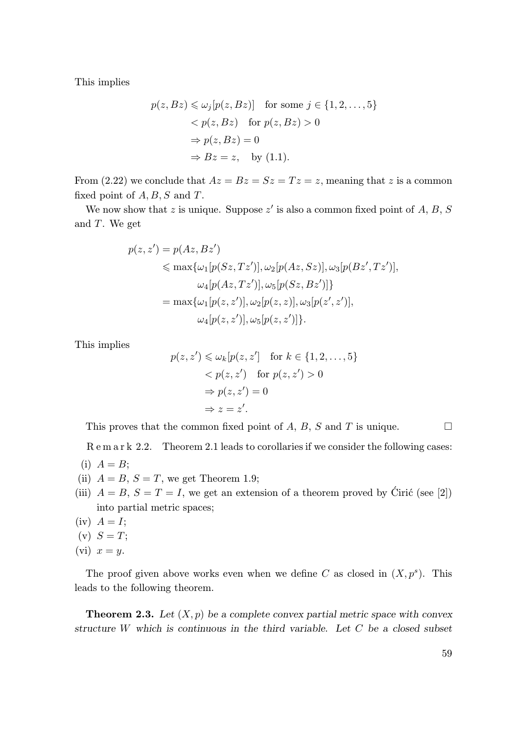This implies

$$
p(z, Bz) \leq \omega_j[p(z, Bz)] \text{ for some } j \in \{1, 2, ..., 5\}
$$
  

$$
< p(z, Bz) \text{ for } p(z, Bz) > 0
$$
  

$$
\Rightarrow p(z, Bz) = 0
$$
  

$$
\Rightarrow Bz = z, \text{ by (1.1)}.
$$

From (2.22) we conclude that  $Az = Bz = Sz = Tz = z$ , meaning that z is a common fixed point of  $A, B, S$  and  $T$ .

We now show that z is unique. Suppose  $z'$  is also a common fixed point of  $A, B, S$ and  $T$ . We get

$$
p(z, z') = p(Az, Bz')
$$
  
\$\leq\$ max{ $\omega_1[p(Sz, Tz')]$ ,  $\omega_2[p(Az, Sz)]$ ,  $\omega_3[p(Bz', Tz')]$ ,  
 $\omega_4[p(Az, Tz')]$ ,  $\omega_5[p(Sz, Bz')]$ }  
 $=$  max{ $\omega_1[p(z, z')]$ ,  $\omega_2[p(z, z)]$ ,  $\omega_3[p(z', z')]$ ,  
 $\omega_4[p(z, z')]$ ,  $\omega_5[p(z, z')]$ }.

This implies

$$
p(z, z') \leq \omega_k [p(z, z'] \text{ for } k \in \{1, 2, ..., 5\}
$$

$$
< p(z, z') \text{ for } p(z, z') > 0
$$

$$
\Rightarrow p(z, z') = 0
$$

$$
\Rightarrow z = z'.
$$

This proves that the common fixed point of A, B, S and T is unique.  $\Box$ 

R e m a r k 2.2. Theorem 2.1 leads to corollaries if we consider the following cases:

- $(i)$   $A = B$ ;
- (ii)  $A = B$ ,  $S = T$ , we get Theorem 1.9;
- (iii)  $A = B$ ,  $S = T = I$ , we get an extension of a theorem proved by Ciric (see [2]) into partial metric spaces;
- $(iv)$   $A = I;$
- $(v)$   $S = T$ ;
- (vi)  $x = y$ .

The proof given above works even when we define C as closed in  $(X, p<sup>s</sup>)$ . This leads to the following theorem.

**Theorem 2.3.** Let  $(X, p)$  be a complete convex partial metric space with convex *structure* W *which is continuous in the third variable. Let* C *be a closed subset*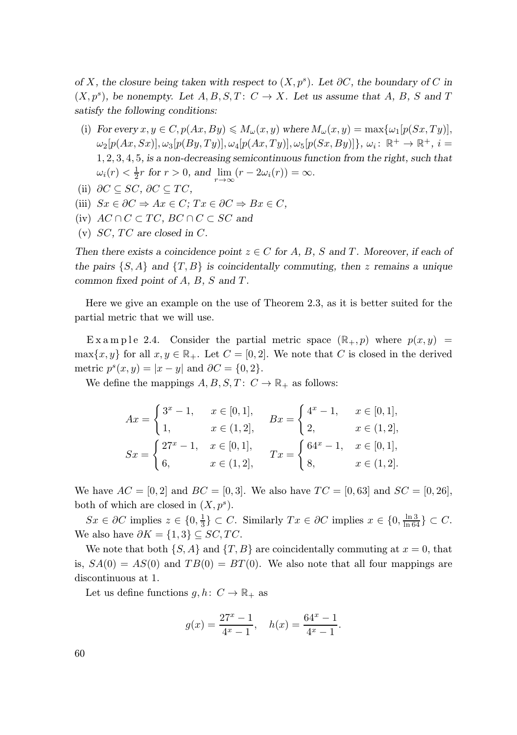*of* X, the closure being taken with respect to  $(X, p^s)$ . Let  $\partial C$ , the boundary of C in  $(X, p^s)$ , be nonempty. Let  $A, B, S, T: C \rightarrow X$ . Let us assume that  $A, B, S$  and T *satisfy the following conditions:*

- (i) *For every*  $x, y \in C$ ,  $p(Ax, By) \leq M_{\omega}(x, y)$  where  $M_{\omega}(x, y) = \max\{\omega_1[p(Sx, Ty)],\}$  $\omega_2[p(Ax, Sx)], \omega_3[pBy, Ty)], \omega_4[p(Ax, Ty)], \omega_5[p(Sx, By)]\}, \omega_i: \mathbb{R}^+ \to \mathbb{R}^+, i =$ 1, 2, 3, 4, 5*, is a non-decreasing semicontinuous function from the right, such that*  $\omega_i(r) < \frac{1}{2}r$  for  $r > 0$ , and  $\lim_{r \to \infty} (r - 2\omega_i(r)) = \infty$ .
- (ii)  $\partial C \subseteq SC$ ,  $\partial C \subseteq TC$ ,
- (iii)  $Sx \in \partial C \Rightarrow Ax \in C$ ;  $Tx \in \partial C \Rightarrow Bx \in C$ ,
- (iv)  $AC \cap C \subset TC$ ,  $BC \cap C \subset SC$  and
- (v)  $SC, TC$  are closed in  $C$ .

*Then there exists a coincidence point*  $z \in C$  *for* A, B, S and T. Moreover, if each of the pairs  $\{S, A\}$  and  $\{T, B\}$  is coincidentally commuting, then z remains a unique *common fixed point of* A*,* B*,* S *and* T *.*

Here we give an example on the use of Theorem 2.3, as it is better suited for the partial metric that we will use.

Ex a m p l e 2.4. Consider the partial metric space  $(\mathbb{R}_+, p)$  where  $p(x, y)$  =  $\max\{x, y\}$  for all  $x, y \in \mathbb{R}_+$ . Let  $C = [0, 2]$ . We note that C is closed in the derived metric  $p^{s}(x, y) = |x - y|$  and  $\partial C = \{0, 2\}.$ 

We define the mappings  $A, B, S, T: C \to \mathbb{R}_+$  as follows:

$$
Ax = \begin{cases} 3^{x} - 1, & x \in [0, 1], \\ 1, & x \in (1, 2], \end{cases} \qquad Bx = \begin{cases} 4^{x} - 1, & x \in [0, 1], \\ 2, & x \in (1, 2], \end{cases}
$$

$$
Sx = \begin{cases} 27^{x} - 1, & x \in [0, 1], \\ 6, & x \in (1, 2], \end{cases} \qquad Tx = \begin{cases} 64^{x} - 1, & x \in [0, 1], \\ 8, & x \in (1, 2]. \end{cases}
$$

We have  $AC = [0, 2]$  and  $BC = [0, 3]$ . We also have  $TC = [0, 63]$  and  $SC = [0, 26]$ , both of which are closed in  $(X, p^s)$ .

 $Sx \in \partial C$  implies  $z \in \{0, \frac{1}{3}\} \subset C$ . Similarly  $Tx \in \partial C$  implies  $x \in \{0, \frac{\ln 3}{\ln 64}\} \subset C$ . We also have  $\partial K = \{1,3\} \subseteq SC, TC$ .

We note that both  $\{S, A\}$  and  $\{T, B\}$  are coincidentally commuting at  $x = 0$ , that is,  $SA(0) = AS(0)$  and  $TB(0) = BT(0)$ . We also note that all four mappings are discontinuous at 1.

Let us define functions  $g, h: C \to \mathbb{R}_+$  as

$$
g(x) = \frac{27^x - 1}{4^x - 1}, \quad h(x) = \frac{64^x - 1}{4^x - 1}.
$$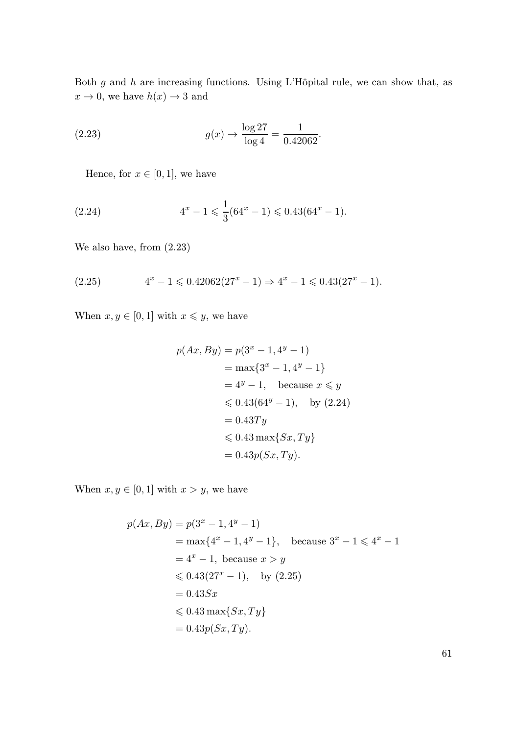Both  $g$  and  $h$  are increasing functions. Using L'Hôpital rule, we can show that, as  $x \to 0$ , we have  $h(x) \to 3$  and

(2.23) 
$$
g(x) \to \frac{\log 27}{\log 4} = \frac{1}{0.42062}.
$$

Hence, for  $x \in [0,1]$ , we have

(2.24) 
$$
4^x - 1 \leqslant \frac{1}{3} (64^x - 1) \leqslant 0.43 (64^x - 1).
$$

We also have, from (2.23)

$$
(2.25) \t 4x - 1 \leqslant 0.42062(27x - 1) \Rightarrow 4x - 1 \leqslant 0.43(27x - 1).
$$

When  $x, y \in [0, 1]$  with  $x \leq y$ , we have

$$
p(Ax, By) = p(3^x - 1, 4^y - 1)
$$
  
= max{3<sup>x</sup> - 1, 4<sup>y</sup> - 1}  
= 4<sup>y</sup> - 1, because  $x \le y$   
 $\le 0.43(64^y - 1)$ , by (2.24)  
= 0.43T<sub>y</sub>  
 $\le 0.43 \max\{Sx, Ty\}$   
= 0.43 $p(Sx, Ty)$ .

When  $x, y \in [0, 1]$  with  $x > y$ , we have

$$
p(Ax, By) = p(3^x - 1, 4^y - 1)
$$
  
= max{4<sup>x</sup> - 1, 4<sup>y</sup> - 1}, because 3<sup>x</sup> - 1 < 4<sup>x</sup> - 1  
= 4<sup>x</sup> - 1, because  $x > y$   
 $\le 0.43(27^x - 1)$ , by (2.25)  
= 0.43Sx  
 $\le 0.43 \max\{Sx, Ty\}$   
= 0.43p(Sx, Ty).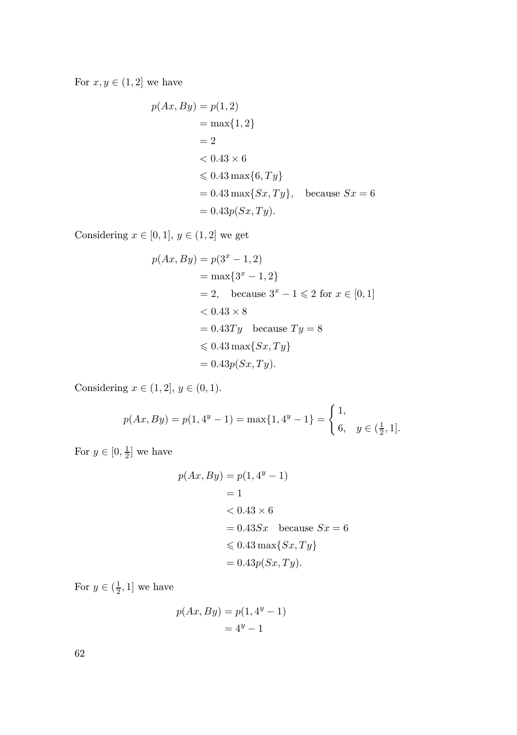For  $x, y \in (1, 2]$  we have

$$
p(Ax, By) = p(1, 2)
$$
  
= max{1, 2}  
= 2  
< 0.43 × 6  
< 0.43 max{6, Ty}  
= 0.43 max{Sx, Ty}, because Sx = 6  
= 0.43p(Sx, Ty).

Considering  $x\in[0,1],\,y\in(1,2]$  we get

$$
p(Ax, By) = p(3^{x} - 1, 2)
$$
  
= max{3<sup>x</sup> - 1, 2}  
= 2, because 3<sup>x</sup> - 1 < 2 for x  $\in [0, 1]$   
< 0.43 × 8  
= 0.43Ty because Ty = 8  
< 0.43 max{Sx, Ty}  
= 0.43p(Sx, Ty).

Considering  $x \in (1, 2], y \in (0, 1)$ .

$$
p(Ax, By) = p(1, 4^y - 1) = \max\{1, 4^y - 1\} = \begin{cases} 1, \\ 6, \ y \in (\frac{1}{2}, 1]. \end{cases}
$$

For  $y \in [0, \frac{1}{2}]$  we have

$$
p(Ax, By) = p(1, 4y - 1)
$$
  
= 1  
< 0.43 × 6  
= 0.43Sx because Sx = 6  
< 0.43 max{Sx, Ty}  
= 0.43p(Sx, Ty).

For  $y \in (\frac{1}{2}, 1]$  we have

$$
p(Ax, By) = p(1, 4y - 1)
$$

$$
= 4y - 1
$$